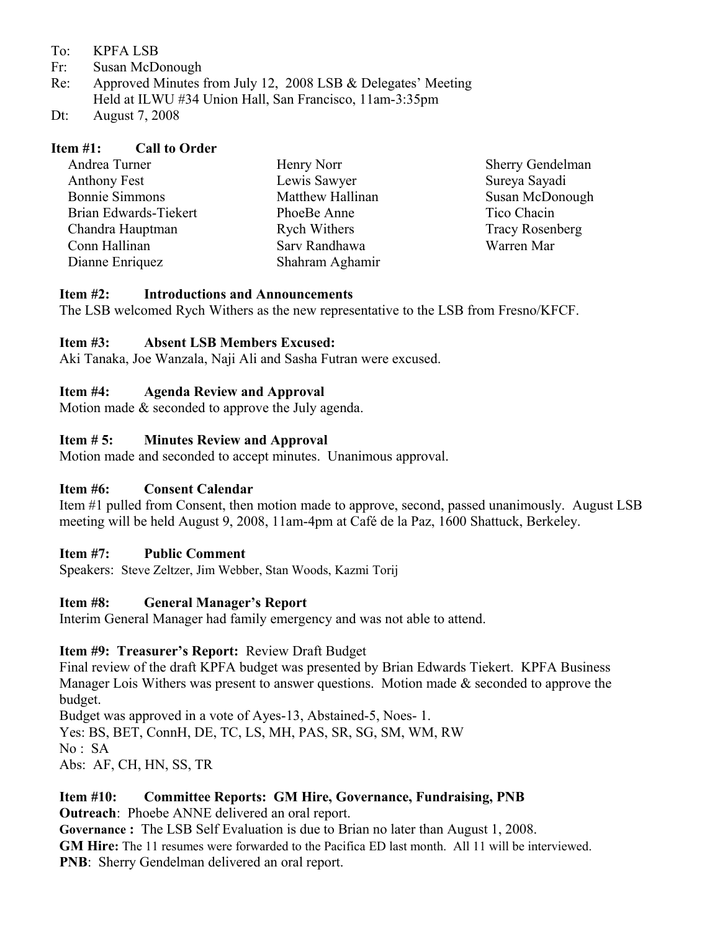- To: KPFA LSB
- Fr: Susan McDonough
- Re: Approved Minutes from July 12, 2008 LSB & Delegates' Meeting Held at ILWU #34 Union Hall, San Francisco, 11am-3:35pm
- Dt: August 7, 2008

#### **Item #1: Call to Order**

| Andrea Turner         | Henry Norr          | <b>Sherry Gendelman</b> |
|-----------------------|---------------------|-------------------------|
| <b>Anthony Fest</b>   | Lewis Sawyer        | Sureya Sayadi           |
| <b>Bonnie Simmons</b> | Matthew Hallinan    | Susan McDonough         |
| Brian Edwards-Tiekert | PhoeBe Anne         | Tico Chacin             |
| Chandra Hauptman      | <b>Rych Withers</b> | <b>Tracy Rosenberg</b>  |
| Conn Hallinan         | Sarv Randhawa       | Warren Mar              |
| Dianne Enriquez       | Shahram Aghamir     |                         |

#### **Item #2: Introductions and Announcements**

The LSB welcomed Rych Withers as the new representative to the LSB from Fresno/KFCF.

## **Item #3: Absent LSB Members Excused:**

Aki Tanaka, Joe Wanzala, Naji Ali and Sasha Futran were excused.

### **Item #4: Agenda Review and Approval**

Motion made & seconded to approve the July agenda.

### **Item # 5: Minutes Review and Approval**

Motion made and seconded to accept minutes. Unanimous approval.

#### **Item #6: Consent Calendar**

Item #1 pulled from Consent, then motion made to approve, second, passed unanimously. August LSB meeting will be held August 9, 2008, 11am-4pm at Café de la Paz, 1600 Shattuck, Berkeley.

#### **Item #7: Public Comment**

Speakers: Steve Zeltzer, Jim Webber, Stan Woods, Kazmi Torij

#### **Item #8: General Manager's Report**

Interim General Manager had family emergency and was not able to attend.

#### **Item #9: Treasurer's Report:** Review Draft Budget

Final review of the draft KPFA budget was presented by Brian Edwards Tiekert. KPFA Business Manager Lois Withers was present to answer questions.Motion made & seconded to approve the budget.

Budget was approved in a vote of Ayes-13, Abstained-5, Noes- 1.

Yes: BS, BET, ConnH, DE, TC, LS, MH, PAS, SR, SG, SM, WM, RW

No : SA

Abs: AF, CH, HN, SS, TR

## **Item #10: Committee Reports: GM Hire, Governance, Fundraising, PNB**

**Outreach**: Phoebe ANNE delivered an oral report.

**Governance :** The LSB Self Evaluation is due to Brian no later than August 1, 2008. **GM Hire:** The 11 resumes were forwarded to the Pacifica ED last month. All 11 will be interviewed. **PNB**: Sherry Gendelman delivered an oral report.